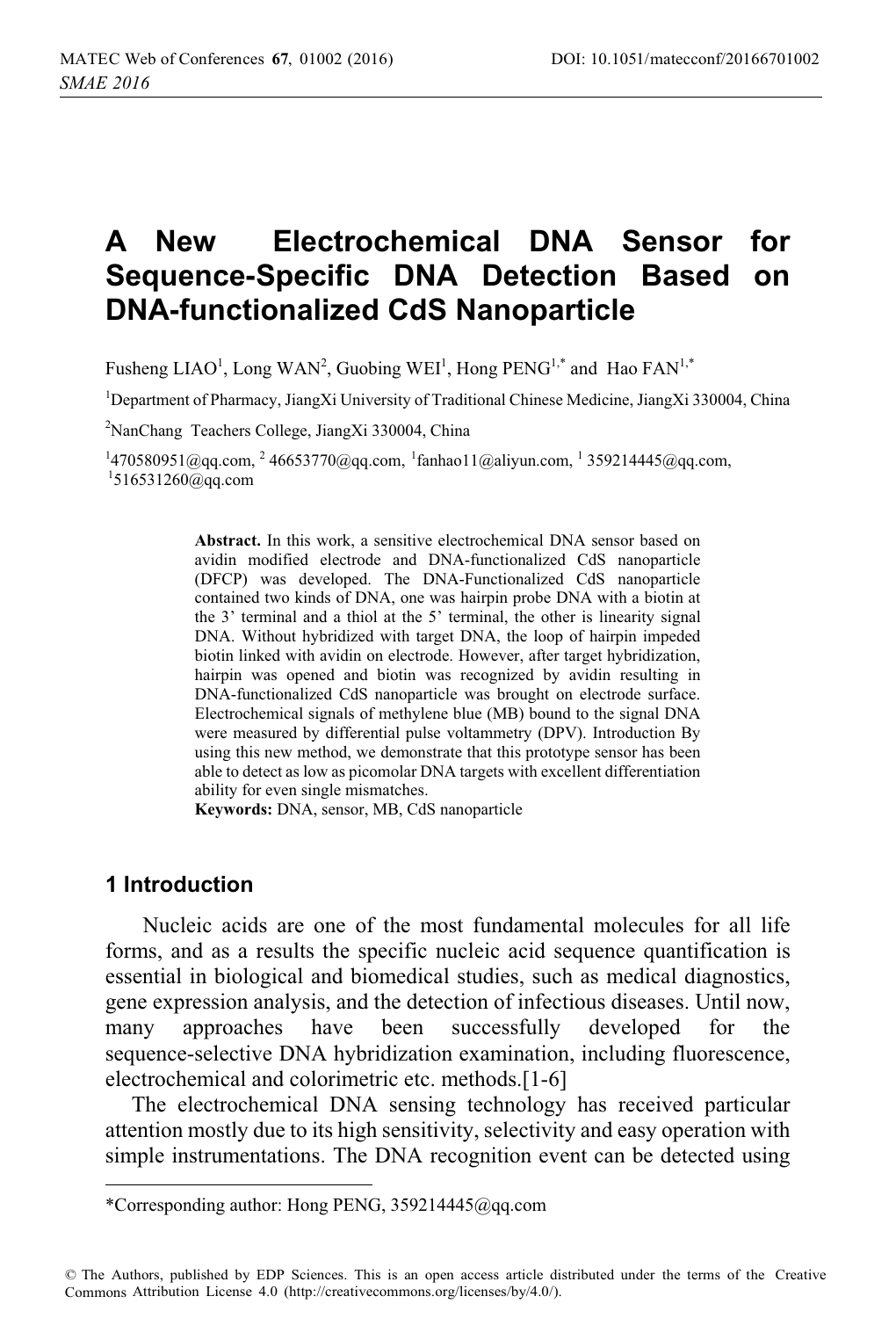# **A New Electrochemical DNA Sensor for Sequence-Specific DNA Detection Based on DNA-functionalized CdS Nanoparticle**

Fusheng LIAO<sup>1</sup>, Long WAN<sup>2</sup>, Guobing WEI<sup>1</sup>, Hong PENG<sup>1,\*</sup> and Hao FAN<sup>1,\*</sup>

<sup>1</sup>Department of Pharmacy, JiangXi University of Traditional Chinese Medicine, JiangXi 330004, China

<sup>2</sup>NanChang Teachers College, JiangXi 330004, China

 $^{14}$ 70580951@qq.com,  $^{2}$ 46653770@qq.com,  $^{1}$ fanhao11@aliyun.com,  $^{1}$ 359214445@qq.com,  $^{1}$ 516531260@qq.com

**Abstract.** In this work, a sensitive electrochemical DNA sensor based on avidin modified electrode and DNA-functionalized CdS nanoparticle (DFCP) was developed. The DNA-Functionalized CdS nanoparticle contained two kinds of DNA, one was hairpin probe DNA with a biotin at the 3' terminal and a thiol at the 5' terminal, the other is linearity signal DNA. Without hybridized with target DNA, the loop of hairpin impeded biotin linked with avidin on electrode. However, after target hybridization, hairpin was opened and biotin was recognized by avidin resulting in DNA-functionalized CdS nanoparticle was brought on electrode surface. Electrochemical signals of methylene blue (MB) bound to the signal DNA were measured by differential pulse voltammetry (DPV). Introduction By using this new method, we demonstrate that this prototype sensor has been able to detect as low as picomolar DNA targets with excellent differentiation ability for even single mismatches.

**Keywords:** DNA, sensor, MB, CdS nanoparticle

## **1 Introduction**

 $\overline{a}$ 

 Nucleic acids are one of the most fundamental molecules for all life forms, and as a results the specific nucleic acid sequence quantification is essential in biological and biomedical studies, such as medical diagnostics, gene expression analysis, and the detection of infectious diseases. Until now, many approaches have been successfully developed for the sequence-selective DNA hybridization examination, including fluorescence, electrochemical and colorimetric etc. methods.[1-6]

The electrochemical DNA sensing technology has received particular attention mostly due to its high sensitivity, selectivity and easy operation with simple instrumentations. The DNA recognition event can be detected using

<sup>\*</sup>Corresponding author: Hong PENG, 359214445@qq.com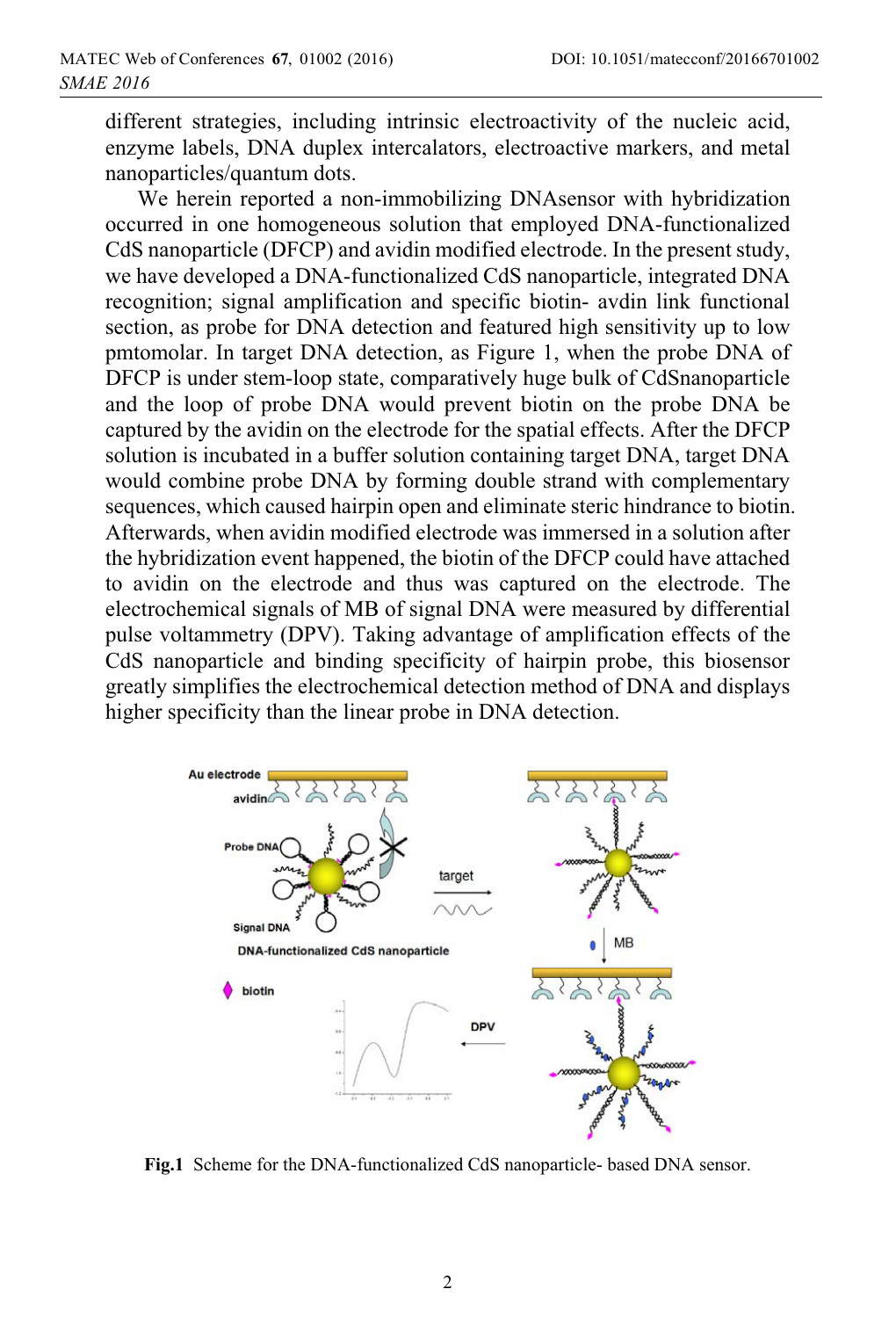different strategies, including intrinsic electroactivity of the nucleic acid, enzyme labels, DNA duplex intercalators, electroactive markers, and metal nanoparticles/quantum dots.

 We herein reported a non-immobilizing DNAsensor with hybridization occurred in one homogeneous solution that employed DNA-functionalized CdS nanoparticle (DFCP) and avidin modified electrode. In the present study, we have developed a DNA-functionalized CdS nanoparticle, integrated DNA recognition; signal amplification and specific biotin- avdin link functional section, as probe for DNA detection and featured high sensitivity up to low pmtomolar. In target DNA detection, as Figure 1, when the probe DNA of DFCP is under stem-loop state, comparatively huge bulk of CdSnanoparticle and the loop of probe DNA would prevent biotin on the probe DNA be captured by the avidin on the electrode for the spatial effects. After the DFCP solution is incubated in a buffer solution containing target DNA, target DNA would combine probe DNA by forming double strand with complementary sequences, which caused hairpin open and eliminate steric hindrance to biotin. Afterwards, when avidin modified electrode was immersed in a solution after the hybridization event happened, the biotin of the DFCP could have attached to avidin on the electrode and thus was captured on the electrode. The electrochemical signals of MB of signal DNA were measured by differential pulse voltammetry (DPV). Taking advantage of amplification effects of the CdS nanoparticle and binding specificity of hairpin probe, this biosensor greatly simplifies the electrochemical detection method of DNA and displays higher specificity than the linear probe in DNA detection.



**Fig.1** Scheme for the DNA-functionalized CdS nanoparticle- based DNA sensor.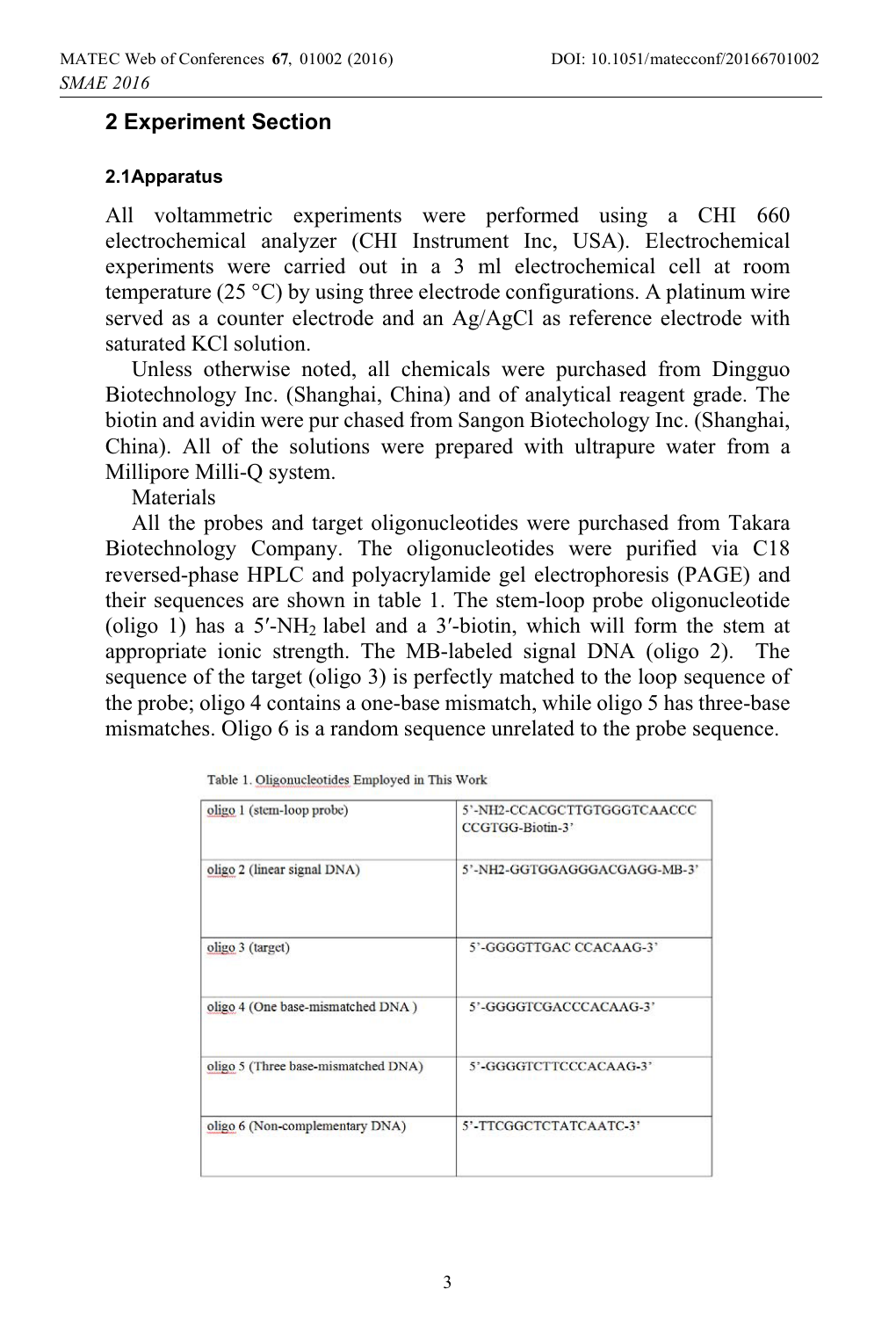## **2 Experiment Section**

#### **2.1Apparatus**

All voltammetric experiments were performed using a CHI 660 electrochemical analyzer (CHI Instrument Inc, USA). Electrochemical experiments were carried out in a 3 ml electrochemical cell at room temperature (25 °C) by using three electrode configurations. A platinum wire served as a counter electrode and an Ag/AgCl as reference electrode with saturated KCl solution.

Unless otherwise noted, all chemicals were purchased from Dingguo Biotechnology Inc. (Shanghai, China) and of analytical reagent grade. The biotin and avidin were pur chased from Sangon Biotechology Inc. (Shanghai, China). All of the solutions were prepared with ultrapure water from a Millipore Milli-Q system.

**Materials** 

All the probes and target oligonucleotides were purchased from Takara Biotechnology Company. The oligonucleotides were purified via C18 reversed-phase HPLC and polyacrylamide gel electrophoresis (PAGE) and their sequences are shown in table 1. The stem-loop probe oligonucleotide (oligo 1) has a  $5'$ -NH<sub>2</sub> label and a  $3'$ -biotin, which will form the stem at appropriate ionic strength. The MB-labeled signal DNA (oligo 2). The sequence of the target (oligo 3) is perfectly matched to the loop sequence of the probe; oligo 4 contains a one-base mismatch, while oligo 5 has three-base mismatches. Oligo 6 is a random sequence unrelated to the probe sequence.

| oligo 1 (stem-loop probe)           | 5'-NH2-CCACGCTTGTGGGTCAACCC<br>CCGTGG-Biotin-3' |  |  |
|-------------------------------------|-------------------------------------------------|--|--|
| oligo 2 (linear signal DNA)         | 5'-NH2-GGTGGAGGGACGAGG-MB-3'                    |  |  |
| oligo 3 (target)                    | 5'-GGGGTTGAC CCACAAG-3'                         |  |  |
| oligo 4 (One base-mismatched DNA)   | 5'-GGGGTCGACCCACAAG-3'                          |  |  |
| oligo 5 (Three base-mismatched DNA) | 5'-GGGGTCTTCCCACAAG-3'                          |  |  |
| oligo 6 (Non-complementary DNA)     | 5'-TTCGGCTCTATCAATC-3'                          |  |  |
|                                     |                                                 |  |  |

| Table 1. Oligonucleotides Employed in This Work |  |  |
|-------------------------------------------------|--|--|
|                                                 |  |  |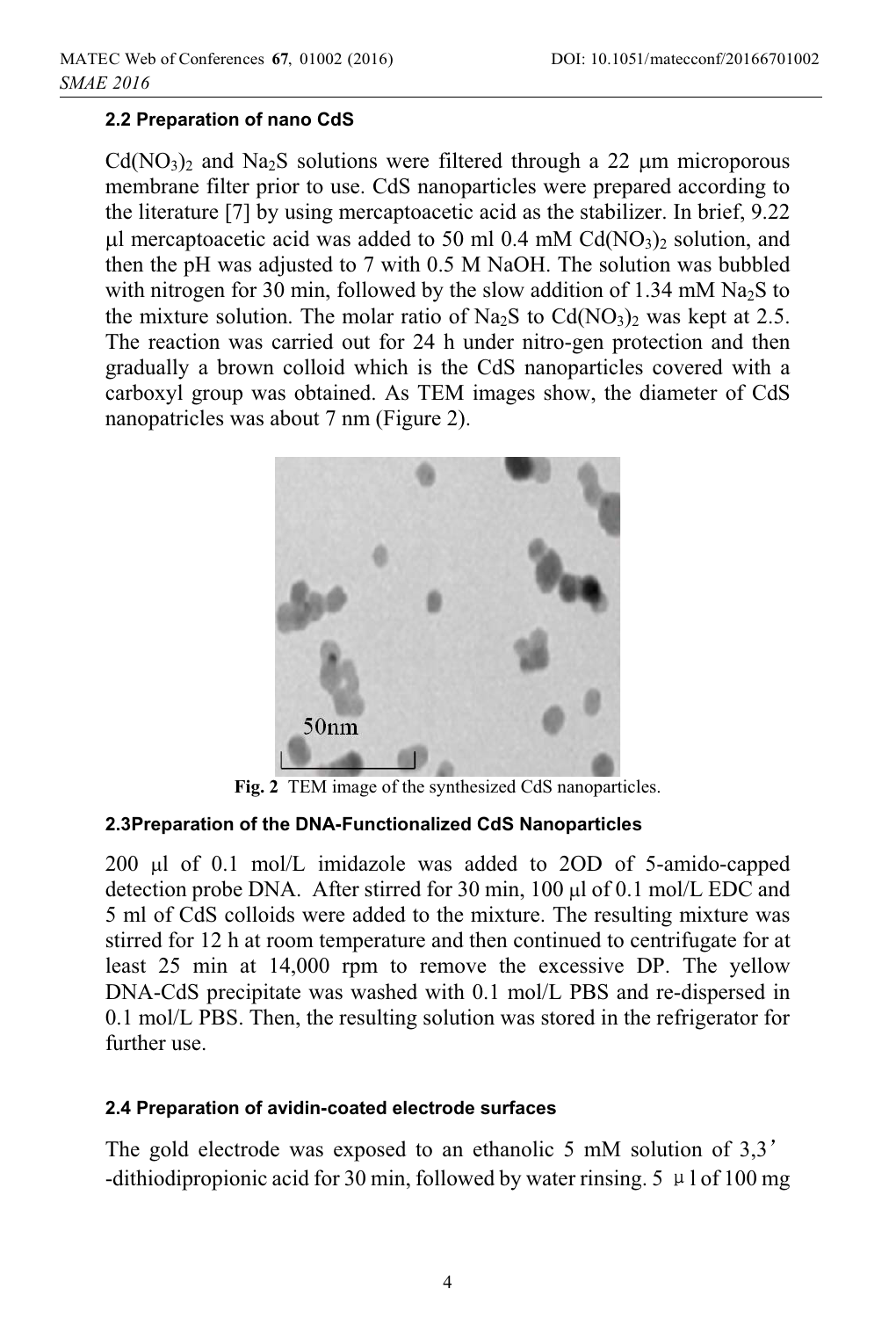### **2.2 Preparation of nano CdS**

 $Cd(NO<sub>3</sub>)<sub>2</sub>$  and Na<sub>2</sub>S solutions were filtered through a 22  $\mu$ m microporous membrane filter prior to use. CdS nanoparticles were prepared according to the literature [7] by using mercaptoacetic acid as the stabilizer. In brief, 9.22 µl mercaptoacetic acid was added to 50 ml 0.4 mM Cd(NO<sub>3</sub>)<sub>2</sub> solution, and then the pH was adjusted to 7 with 0.5 M NaOH. The solution was bubbled with nitrogen for 30 min, followed by the slow addition of 1.34 mM  $Na<sub>2</sub>S$  to the mixture solution. The molar ratio of  $Na<sub>2</sub>S$  to  $Cd(NO<sub>3</sub>)<sub>2</sub>$  was kept at 2.5. The reaction was carried out for 24 h under nitro-gen protection and then gradually a brown colloid which is the CdS nanoparticles covered with a carboxyl group was obtained. As TEM images show, the diameter of CdS nanopatricles was about 7 nm (Figure 2).



**Fig. 2** TEM image of the synthesized CdS nanoparticles.

#### **2.3Preparation of the DNA-Functionalized CdS Nanoparticles**

200 µl of 0.1 mol/L imidazole was added to 2OD of 5-amido-capped detection probe DNA. After stirred for 30 min, 100  $\mu$ l of 0.1 mol/L EDC and 5 ml of CdS colloids were added to the mixture. The resulting mixture was stirred for 12 h at room temperature and then continued to centrifugate for at least 25 min at 14,000 rpm to remove the excessive DP. The yellow DNA-CdS precipitate was washed with 0.1 mol/L PBS and re-dispersed in 0.1 mol/L PBS. Then, the resulting solution was stored in the refrigerator for further use.

#### **2.4 Preparation of avidin-coated electrode surfaces**

The gold electrode was exposed to an ethanolic 5 mM solution of 3,3<sup>'</sup> -dithiodipropionic acid for 30 min, followed by water rinsing.  $5 \mu 1$  of 100 mg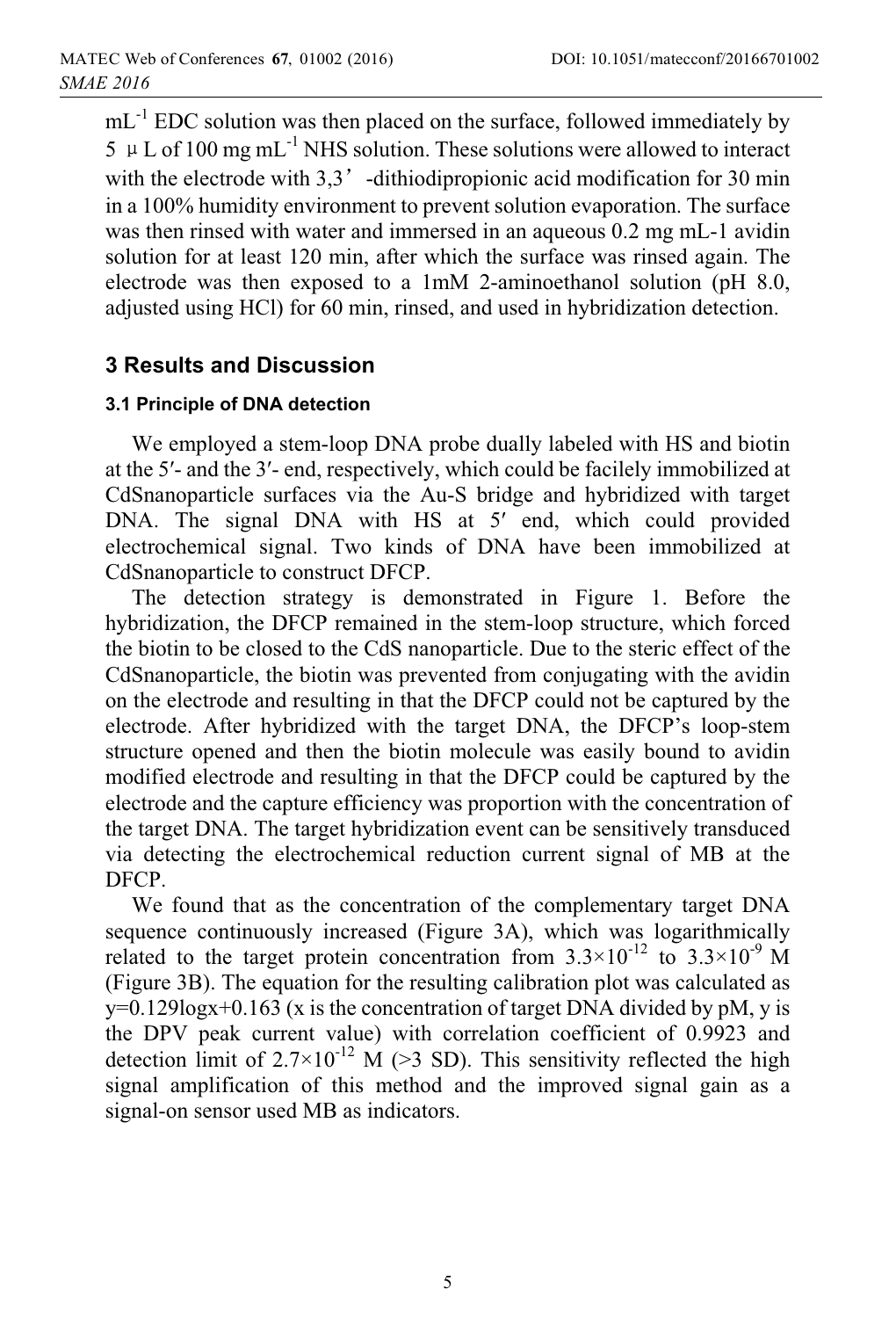mL<sup>-1</sup> EDC solution was then placed on the surface, followed immediately by  $5 \mu L$  of 100 mg mL<sup>-1</sup> NHS solution. These solutions were allowed to interact with the electrode with  $3,3'$  -dithiodipropionic acid modification for 30 min in a 100% humidity environment to prevent solution evaporation. The surface was then rinsed with water and immersed in an aqueous 0.2 mg mL-1 avidin solution for at least 120 min, after which the surface was rinsed again. The electrode was then exposed to a 1mM 2-aminoethanol solution (pH 8.0, adjusted using HCl) for 60 min, rinsed, and used in hybridization detection.

## **3 Results and Discussion**

#### **3.1 Principle of DNA detection**

We employed a stem-loop DNA probe dually labeled with HS and biotin at the 5'- and the 3'- end, respectively, which could be facilely immobilized at CdSnanoparticle surfaces via the Au-S bridge and hybridized with target DNA. The signal DNA with HS at 5' end, which could provided electrochemical signal. Two kinds of DNA have been immobilized at CdSnanoparticle to construct DFCP.

The detection strategy is demonstrated in Figure 1. Before the hybridization, the DFCP remained in the stem-loop structure, which forced the biotin to be closed to the CdS nanoparticle. Due to the steric effect of the CdSnanoparticle, the biotin was prevented from conjugating with the avidin on the electrode and resulting in that the DFCP could not be captured by the electrode. After hybridized with the target DNA, the DFCP's loop-stem structure opened and then the biotin molecule was easily bound to avidin modified electrode and resulting in that the DFCP could be captured by the electrode and the capture efficiency was proportion with the concentration of the target DNA. The target hybridization event can be sensitively transduced via detecting the electrochemical reduction current signal of MB at the DFCP.

We found that as the concentration of the complementary target DNA sequence continuously increased (Figure 3A), which was logarithmically related to the target protein concentration from  $3.3 \times 10^{-12}$  to  $3.3 \times 10^{-9}$  M (Figure 3B). The equation for the resulting calibration plot was calculated as y=0.129logx+0.163 (x is the concentration of target DNA divided by pM, y is the DPV peak current value) with correlation coefficient of 0.9923 and detection limit of  $2.7 \times 10^{-12}$  M ( $\geq 3$  SD). This sensitivity reflected the high signal amplification of this method and the improved signal gain as a signal-on sensor used MB as indicators.